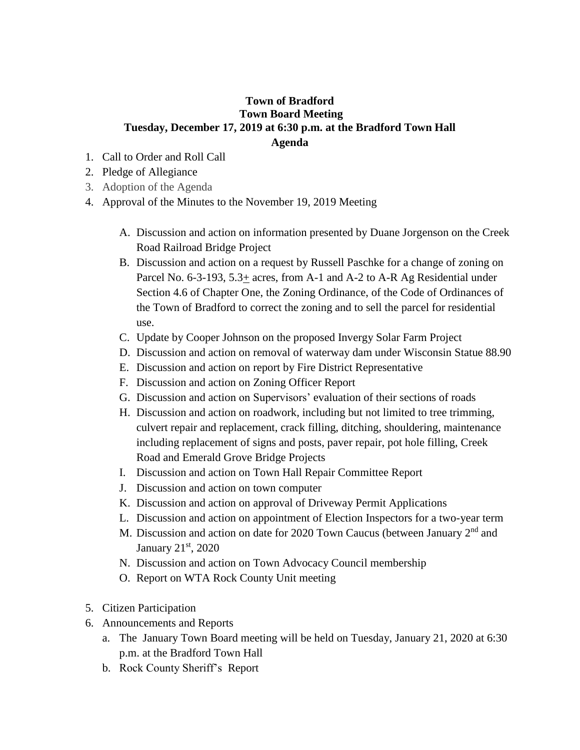## **Town of Bradford Town Board Meeting Tuesday, December 17, 2019 at 6:30 p.m. at the Bradford Town Hall Agenda**

- 1. Call to Order and Roll Call
- 2. Pledge of Allegiance
- 3. Adoption of the Agenda
- 4. Approval of the Minutes to the November 19, 2019 Meeting
	- A. Discussion and action on information presented by Duane Jorgenson on the Creek Road Railroad Bridge Project
	- B. Discussion and action on a request by Russell Paschke for a change of zoning on Parcel No. 6-3-193, 5.3+ acres, from A-1 and A-2 to A-R Ag Residential under Section 4.6 of Chapter One, the Zoning Ordinance, of the Code of Ordinances of the Town of Bradford to correct the zoning and to sell the parcel for residential use.
	- C. Update by Cooper Johnson on the proposed Invergy Solar Farm Project
	- D. Discussion and action on removal of waterway dam under Wisconsin Statue 88.90
	- E. Discussion and action on report by Fire District Representative
	- F. Discussion and action on Zoning Officer Report
	- G. Discussion and action on Supervisors' evaluation of their sections of roads
	- H. Discussion and action on roadwork, including but not limited to tree trimming, culvert repair and replacement, crack filling, ditching, shouldering, maintenance including replacement of signs and posts, paver repair, pot hole filling, Creek Road and Emerald Grove Bridge Projects
	- I. Discussion and action on Town Hall Repair Committee Report
	- J. Discussion and action on town computer
	- K. Discussion and action on approval of Driveway Permit Applications
	- L. Discussion and action on appointment of Election Inspectors for a two-year term
	- M. Discussion and action on date for 2020 Town Caucus (between January 2nd and January 21<sup>st</sup>, 2020
	- N. Discussion and action on Town Advocacy Council membership
	- O. Report on WTA Rock County Unit meeting
- 5. Citizen Participation
- 6. Announcements and Reports
	- a. The January Town Board meeting will be held on Tuesday, January 21, 2020 at 6:30 p.m. at the Bradford Town Hall
	- b. Rock County Sheriff's Report